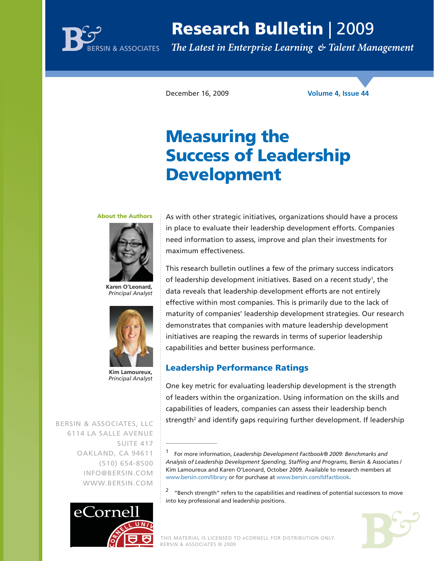

# **Research Bulletin** | 2009

The Latest in Enterprise Learning & Talent Management

December 16, 2009 **Volume 4, Issue 44**

# **Measuring the Success of Leadership Development**

#### **About the Authors**



**Karen O'Leonard,** *Principal Analyst*



**Kim Lamoureux,** *Principal Analyst*

BERSIN & ASSOCIATES, LLC 6114 LA SALLE AVENUE SUITE 417 OAKLAND, CA 94611 (510) 654-8500 INFO@BERSIN.COM WWW.BERSIN.COM



As with other strategic initiatives, organizations should have a process in place to evaluate their leadership development efforts. Companies need information to assess, improve and plan their investments for maximum effectiveness.

This research bulletin outlines a few of the primary success indicators of leadership development initiatives. Based on a recent study<sup>1</sup>, the data reveals that leadership development efforts are not entirely effective within most companies. This is primarily due to the lack of maturity of companies' leadership development strategies. Our research demonstrates that companies with mature leadership development initiatives are reaping the rewards in terms of superior leadership capabilities and better business performance.

### **Leadership Performance Ratings**

One key metric for evaluating leadership development is the strength of leaders within the organization. Using information on the skills and capabilities of leaders, companies can assess their leadership bench strength<sup>2</sup> and identify gaps requiring further development. If leadership

 $2$  "Bench strength" refers to the capabilities and readiness of potential successors to move into key professional and leadership positions.



<sup>1</sup> For more information, *Leadership Development Factbook® 2009: Benchmarks and Analysis of Leadership Development Spending, Staffing and Programs*, Bersin & Associates / Kim Lamoureux and Karen O'Leonard, October 2009. Available to research members at www.bersin.com/library or for purchase at www.bersin.com/ldfactbook.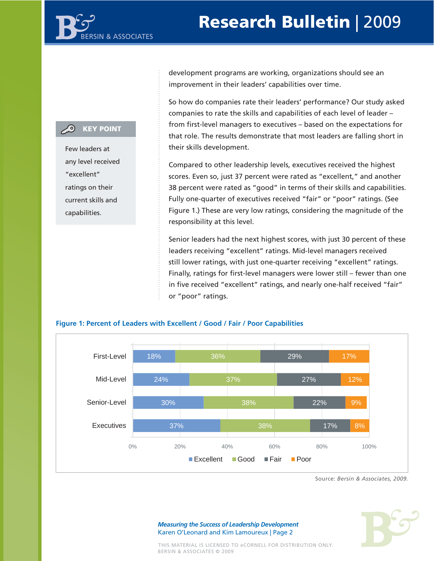## **Research Bulletin** | 20 **Research Bulletin** | 2009

## **CO** KEY POINT

Few leaders at any level received "excellent" ratings on their current skills and capabilities.

development programs are working, organizations should see an improvement in their leaders' capabilities over time.

So how do companies rate their leaders' performance? Our study asked companies to rate the skills and capabilities of each level of leader – from first-level managers to executives – based on the expectations for that role. The results demonstrate that most leaders are falling short in their skills development.

Compared to other leadership levels, executives received the highest scores. Even so, just 37 percent were rated as "excellent," and another 38 percent were rated as "good" in terms of their skills and capabilities. Fully one-quarter of executives received "fair" or "poor" ratings. (See Figure 1.) These are very low ratings, considering the magnitude of the responsibility at this level.

Senior leaders had the next highest scores, with just 30 percent of these leaders receiving "excellent" ratings. Mid-level managers received still lower ratings, with just one-quarter receiving "excellent" ratings. Finally, ratings for first-level managers were lower still – fewer than one in five received "excellent" ratings, and nearly one-half received "fair" or "poor" ratings.



## **Figure 1: Percent of Leaders with Excellent / Good / Fair / Poor Capabilities**

Source: *Bersin & Associates, 2009.*

THIS MATERIAL IS LICENSED TO eCORNELL FOR DISTRIBUTION ONLY. BERSIN & ASSOCIATES © 2009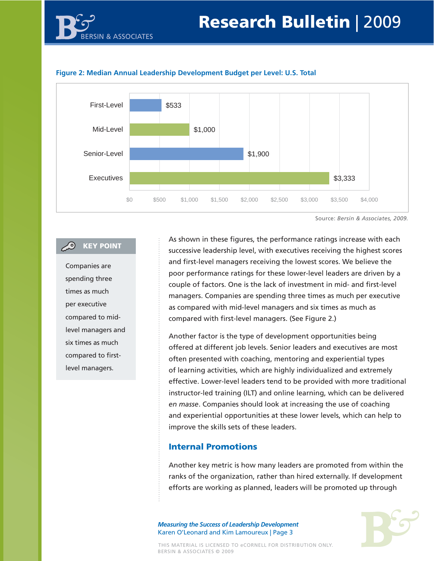#### **Figure 2: Median Annual Leadership Development Budget per Level: U.S. Total**

BERSIN & ASSOCIATES



Source: *Bersin & Associates, 2009.*

### **CO** KEY POINT

Companies are spending three times as much per executive compared to midlevel managers and six times as much compared to firstlevel managers.

As shown in these figures, the performance ratings increase with each successive leadership level, with executives receiving the highest scores and first-level managers receiving the lowest scores. We believe the poor performance ratings for these lower-level leaders are driven by a couple of factors. One is the lack of investment in mid- and first-level managers. Companies are spending three times as much per executive as compared with mid-level managers and six times as much as compared with first-level managers. (See Figure 2.)

Another factor is the type of development opportunities being offered at different job levels. Senior leaders and executives are most often presented with coaching, mentoring and experiential types of learning activities, which are highly individualized and extremely effective. Lower-level leaders tend to be provided with more traditional instructor-led training (ILT) and online learning, which can be delivered *en masse*. Companies should look at increasing the use of coaching and experiential opportunities at these lower levels, which can help to improve the skills sets of these leaders.

#### **Internal Promotions**

Another key metric is how many leaders are promoted from within the ranks of the organization, rather than hired externally. If development efforts are working as planned, leaders will be promoted up through

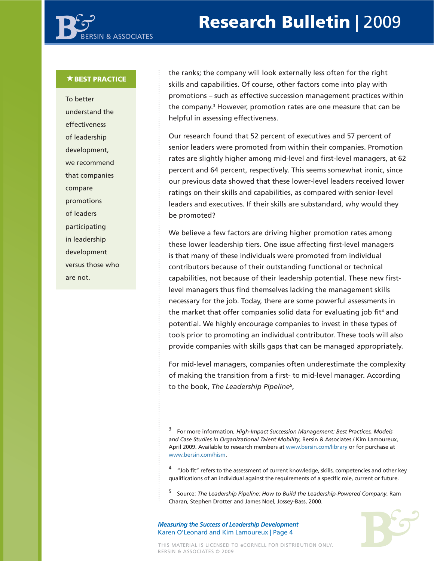#### **BEST PRACTICE**

To better understand the effectiveness of leadership development, we recommend that companies compare promotions of leaders participating in leadership development versus those who are not.

the ranks; the company will look externally less often for the right skills and capabilities. Of course, other factors come into play with promotions – such as effective succession management practices within the company.<sup>3</sup> However, promotion rates are one measure that can be helpful in assessing effectiveness.

Our research found that 52 percent of executives and 57 percent of senior leaders were promoted from within their companies. Promotion rates are slightly higher among mid-level and first-level managers, at 62 percent and 64 percent, respectively. This seems somewhat ironic, since our previous data showed that these lower-level leaders received lower ratings on their skills and capabilities, as compared with senior-level leaders and executives. If their skills are substandard, why would they be promoted?

We believe a few factors are driving higher promotion rates among these lower leadership tiers. One issue affecting first-level managers is that many of these individuals were promoted from individual contributors because of their outstanding functional or technical capabilities, not because of their leadership potential. These new firstlevel managers thus find themselves lacking the management skills necessary for the job. Today, there are some powerful assessments in the market that offer companies solid data for evaluating job fit<sup>4</sup> and potential. We highly encourage companies to invest in these types of tools prior to promoting an individual contributor. These tools will also provide companies with skills gaps that can be managed appropriately.

For mid-level managers, companies often underestimate the complexity of making the transition from a first- to mid-level manager. According to the book, *The Leadership Pipeline*<sup>5</sup> ,



<sup>3</sup> For more information, *High-Impact Succession Management: Best Practices, Models and Case Studies in Organizational Talent Mobility*, Bersin & Associates / Kim Lamoureux, April 2009. Available to research members at www.bersin.com/library or for purchase at www.bersin.com/hism.

<sup>4 &</sup>quot;Job fit" refers to the assessment of current knowledge, skills, competencies and other key qualifications of an individual against the requirements of a specific role, current or future.

<sup>5</sup> Source: *The Leadership Pipeline: How to Build the Leadership-Powered Company*, Ram Charan, Stephen Drotter and James Noel, Jossey-Bass, 2000.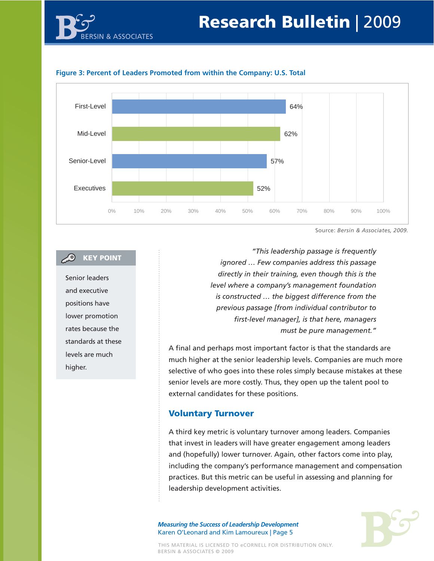



Source: *Bersin & Associates, 2009.*

## **KEY POINT**

Senior leaders and executive positions have lower promotion rates because the standards at these levels are much higher.

*"This leadership passage is frequently ignored … Few companies address this passage directly in their training, even though this is the level where a company's management foundation is constructed … the biggest difference from the previous passage [from individual contributor to first-level manager], is that here, managers must be pure management."*

A final and perhaps most important factor is that the standards are much higher at the senior leadership levels. Companies are much more selective of who goes into these roles simply because mistakes at these senior levels are more costly. Thus, they open up the talent pool to external candidates for these positions.

### **Voluntary Turnover**

A third key metric is voluntary turnover among leaders. Companies that invest in leaders will have greater engagement among leaders and (hopefully) lower turnover. Again, other factors come into play, including the company's performance management and compensation practices. But this metric can be useful in assessing and planning for leadership development activities.

*Measuring the Success of Leadership Development* Karen O'Leonard and Kim Lamoureux | Page 5



THIS MATERIAL IS LICENSED TO eCORNELL FOR DISTRIBUTION ONLY. BERSIN & ASSOCIATES © 2009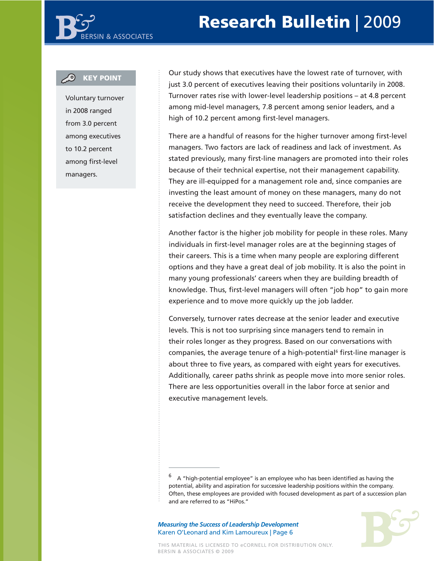#### **KEY POINT**

Voluntary turnover in 2008 ranged from 3.0 percent among executives to 10.2 percent among first-level managers.

Our study shows that executives have the lowest rate of turnover, with just 3.0 percent of executives leaving their positions voluntarily in 2008. Turnover rates rise with lower-level leadership positions – at 4.8 percent among mid-level managers, 7.8 percent among senior leaders, and a high of 10.2 percent among first-level managers.

There are a handful of reasons for the higher turnover among first-level managers. Two factors are lack of readiness and lack of investment. As stated previously, many first-line managers are promoted into their roles because of their technical expertise, not their management capability. They are ill-equipped for a management role and, since companies are investing the least amount of money on these managers, many do not receive the development they need to succeed. Therefore, their job satisfaction declines and they eventually leave the company.

Another factor is the higher job mobility for people in these roles. Many individuals in first-level manager roles are at the beginning stages of their careers. This is a time when many people are exploring different options and they have a great deal of job mobility. It is also the point in many young professionals' careers when they are building breadth of knowledge. Thus, first-level managers will often "job hop" to gain more experience and to move more quickly up the job ladder.

Conversely, turnover rates decrease at the senior leader and executive levels. This is not too surprising since managers tend to remain in their roles longer as they progress. Based on our conversations with companies, the average tenure of a high-potential<sup>6</sup> first-line manager is about three to five years, as compared with eight years for executives. Additionally, career paths shrink as people move into more senior roles. There are less opportunities overall in the labor force at senior and executive management levels.



 $6$  A "high-potential employee" is an employee who has been identified as having the potential, ability and aspiration for successive leadership positions within the company. Often, these employees are provided with focused development as part of a succession plan and are referred to as "HiPos."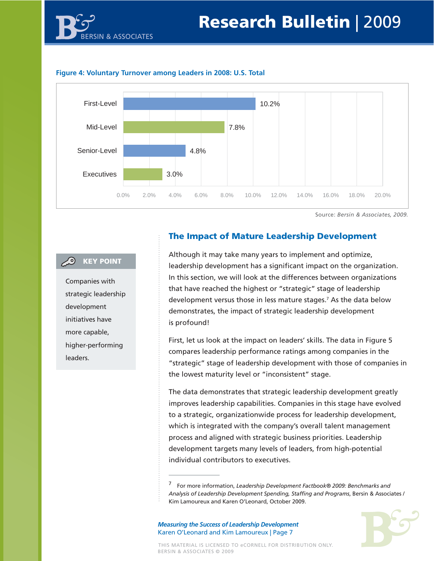





Source: *Bersin & Associates, 2009.*

#### **C** KEY POINT

Companies with strategic leadership development initiatives have more capable, higher-performing leaders.

## **The Impact of Mature Leadership Development**

Although it may take many years to implement and optimize, leadership development has a significant impact on the organization. In this section, we will look at the differences between organizations that have reached the highest or "strategic" stage of leadership development versus those in less mature stages.7 As the data below demonstrates, the impact of strategic leadership development is profound!

First, let us look at the impact on leaders' skills. The data in Figure 5 compares leadership performance ratings among companies in the "strategic" stage of leadership development with those of companies in the lowest maturity level or "inconsistent" stage.

The data demonstrates that strategic leadership development greatly improves leadership capabilities. Companies in this stage have evolved to a strategic, organizationwide process for leadership development, which is integrated with the company's overall talent management process and aligned with strategic business priorities. Leadership development targets many levels of leaders, from high-potential individual contributors to executives.

*Measuring the Success of Leadership Development* Karen O'Leonard and Kim Lamoureux | Page 7



THIS MATERIAL IS LICENSED TO eCORNELL FOR DISTRIBUTION ONLY. BERSIN & ASSOCIATES © 2009

<sup>7</sup> For more information, *Leadership Development Factbook® 2009: Benchmarks and Analysis of Leadership Development Spending, Staffing and Programs*, Bersin & Associates / Kim Lamoureux and Karen O'Leonard, October 2009.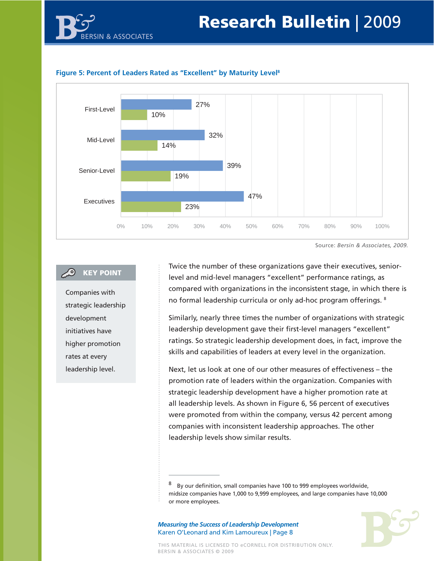



#### **Figure 5: Percent of Leaders Rated as "Excellent" by Maturity Level8**

Source: *Bersin & Associates, 2009.*

#### **KEY POINT**

Companies with strategic leadership development initiatives have higher promotion rates at every leadership level.

Twice the number of these organizations gave their executives, seniorlevel and mid-level managers "excellent" performance ratings, as compared with organizations in the inconsistent stage, in which there is no formal leadership curricula or only ad-hoc program offerings. 8

Similarly, nearly three times the number of organizations with strategic leadership development gave their first-level managers "excellent" ratings. So strategic leadership development does, in fact, improve the skills and capabilities of leaders at every level in the organization.

Next, let us look at one of our other measures of effectiveness – the promotion rate of leaders within the organization. Companies with strategic leadership development have a higher promotion rate at all leadership levels. As shown in Figure 6, 56 percent of executives were promoted from within the company, versus 42 percent among companies with inconsistent leadership approaches. The other leadership levels show similar results.



By our definition, small companies have 100 to 999 employees worldwide, midsize companies have 1,000 to 9,999 employees, and large companies have 10,000 or more employees.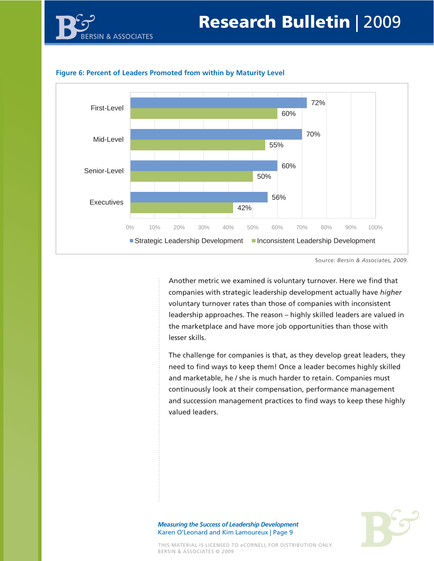



#### **Figure 6: Percent of Leaders Promoted from within by Maturity Level**

Source: *Bersin & Associates, 2009.*

Another metric we examined is voluntary turnover. Here we find that companies with strategic leadership development actually have *higher* voluntary turnover rates than those of companies with inconsistent leadership approaches. The reason – highly skilled leaders are valued in the marketplace and have more job opportunities than those with lesser skills.

The challenge for companies is that, as they develop great leaders, they need to find ways to keep them! Once a leader becomes highly skilled and marketable, he / she is much harder to retain. Companies must continuously look at their compensation, performance management and succession management practices to find ways to keep these highly valued leaders.

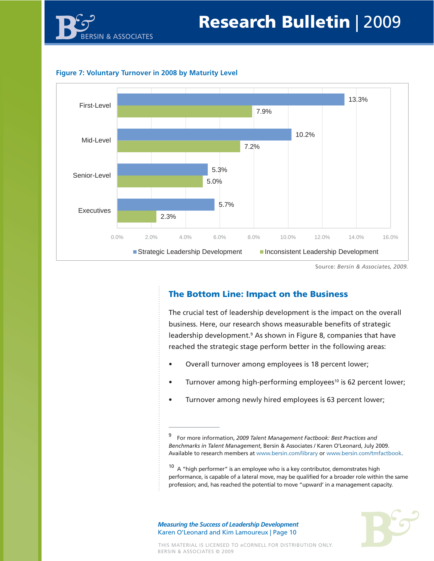





Source: *Bersin & Associates, 2009.*

## **The Bottom Line: Impact on the Business**

The crucial test of leadership development is the impact on the overall business. Here, our research shows measurable benefits of strategic leadership development.<sup>9</sup> As shown in Figure 8, companies that have reached the strategic stage perform better in the following areas:

- Overall turnover among employees is 18 percent lower;
- Turnover among high-performing employees<sup>10</sup> is 62 percent lower;
- Turnover among newly hired employees is 63 percent lower;

 $10\,$  A "high performer" is an employee who is a key contributor, demonstrates high performance, is capable of a lateral move, may be qualified for a broader role within the same profession; and, has reached the potential to move "upward' in a management capacity.



<sup>9</sup> For more information, *2009 Talent Management Factbook: Best Practices and Benchmarks in Talent Management*, Bersin & Associates / Karen O'Leonard, July 2009. Available to research members at www.bersin.com/library or www.bersin.com/tmfactbook.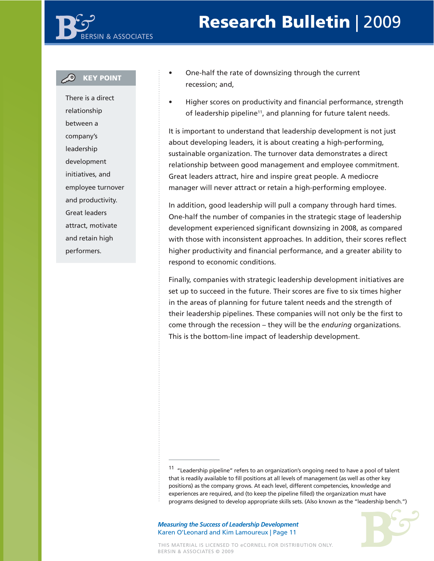## **Research Bulletin** | 20 **Research Bulletin** | 2009

### **KEY POINT**

There is a direct relationship between a company's leadership development initiatives, and employee turnover and productivity. Great leaders attract, motivate and retain high performers.

- One-half the rate of downsizing through the current recession; and,
- Higher scores on productivity and financial performance, strength of leadership pipeline<sup>11</sup>, and planning for future talent needs.

It is important to understand that leadership development is not just about developing leaders, it is about creating a high-performing, sustainable organization. The turnover data demonstrates a direct relationship between good management and employee commitment. Great leaders attract, hire and inspire great people. A mediocre manager will never attract or retain a high-performing employee.

In addition, good leadership will pull a company through hard times. One-half the number of companies in the strategic stage of leadership development experienced significant downsizing in 2008, as compared with those with inconsistent approaches. In addition, their scores reflect higher productivity and financial performance, and a greater ability to respond to economic conditions.

Finally, companies with strategic leadership development initiatives are set up to succeed in the future. Their scores are five to six times higher in the areas of planning for future talent needs and the strength of their leadership pipelines. These companies will not only be the first to come through the recession – they will be the *enduring* organizations. This is the bottom-line impact of leadership development.



<sup>&</sup>lt;sup>11</sup> "Leadership pipeline" refers to an organization's ongoing need to have a pool of talent that is readily available to fill positions at all levels of management (as well as other key positions) as the company grows. At each level, different competencies, knowledge and experiences are required, and (to keep the pipeline filled) the organization must have programs designed to develop appropriate skills sets. (Also known as the "leadership bench.")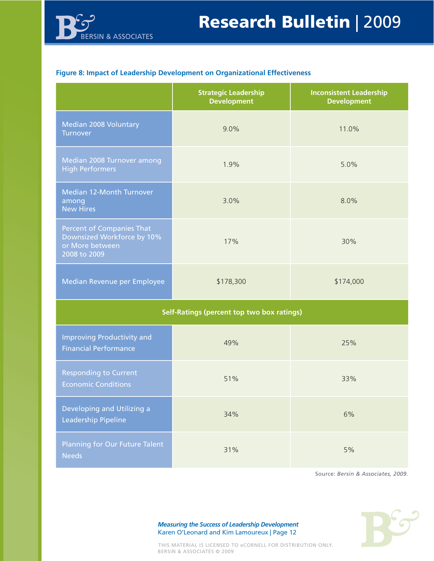

#### **Figure 8: Impact of Leadership Development on Organizational Effectiveness**

|                                                                                                   | <b>Strategic Leadership</b><br><b>Development</b> | <b>Inconsistent Leadership</b><br><b>Development</b> |
|---------------------------------------------------------------------------------------------------|---------------------------------------------------|------------------------------------------------------|
| Median 2008 Voluntary<br>Turnover                                                                 | 9.0%                                              | 11.0%                                                |
| Median 2008 Turnover among<br><b>High Performers</b>                                              | 1.9%                                              | 5.0%                                                 |
| Median 12-Month Turnover<br>among<br><b>New Hires</b>                                             | 3.0%                                              | 8.0%                                                 |
| <b>Percent of Companies That</b><br>Downsized Workforce by 10%<br>or More between<br>2008 to 2009 | 17%                                               | 30%                                                  |
| Median Revenue per Employee                                                                       | \$178,300                                         | \$174,000                                            |
| <b>Self-Ratings (percent top two box ratings)</b>                                                 |                                                   |                                                      |
| <b>Improving Productivity and</b><br><b>Financial Performance</b>                                 | 49%                                               | 25%                                                  |
| <b>Responding to Current</b><br><b>Economic Conditions</b>                                        | 51%                                               | 33%                                                  |
| Developing and Utilizing a<br><b>Leadership Pipeline</b>                                          | 34%                                               | 6%                                                   |
| <b>Planning for Our Future Talent</b><br><b>Needs</b>                                             | 31%                                               | 5%                                                   |

Source: *Bersin & Associates, 2009.*

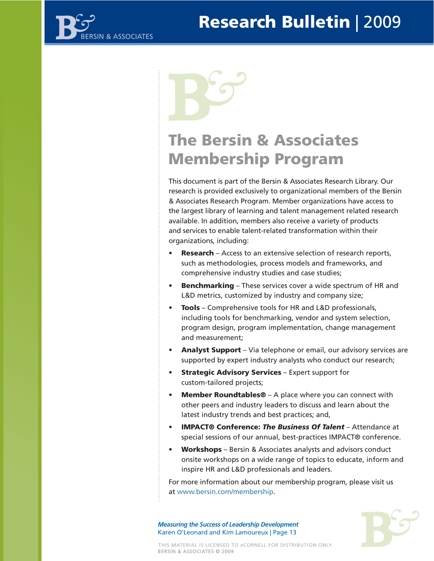

## **The Bersin & Associates Membership Program**

This document is part of the Bersin & Associates Research Library. Our research is provided exclusively to organizational members of the Bersin & Associates Research Program. Member organizations have access to the largest library of learning and talent management related research available. In addition, members also receive a variety of products and services to enable talent-related transformation within their organizations, including:

- **Research** Access to an extensive selection of research reports, such as methodologies, process models and frameworks, and comprehensive industry studies and case studies;
- **Benchmarking** These services cover a wide spectrum of HR and L&D metrics, customized by industry and company size;
- **Tools** Comprehensive tools for HR and L&D professionals, including tools for benchmarking, vendor and system selection, program design, program implementation, change management and measurement;
- **Analyst Support** Via telephone or email, our advisory services are supported by expert industry analysts who conduct our research;
- **Strategic Advisory Services** Expert support for custom-tailored projects;
- **Member Roundtables®** A place where you can connect with other peers and industry leaders to discuss and learn about the latest industry trends and best practices; and,
- **IMPACT® Conference:** *The Business Of Talent* Attendance at special sessions of our annual, best-practices IMPACT® conference.
- **Workshops** Bersin & Associates analysts and advisors conduct onsite workshops on a wide range of topics to educate, inform and inspire HR and L&D professionals and leaders.

For more information about our membership program, please visit us at www.bersin.com/membership.